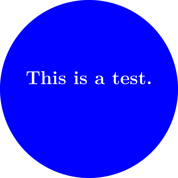## **This is a test.**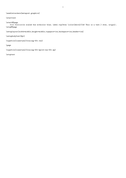\enabletrackers[metapost.graphics]

\starttext

## \startMPpage

fill fullcircle scaled 4cm withcolor blue; label.top(btex \color[white]{\bf This is a test.} etex, origin); \stopMPpage

\setuplayout[width=middle,height=middle,topspace=1cm,backspace=1cm,header=1cm]

\setupbodyfont[9pt]

\typefile[lines=yes]{tracing-001.tex}

\page

\typefile[lines=yes]{tracing-001-mplib-run-001.mp}

\stoptext